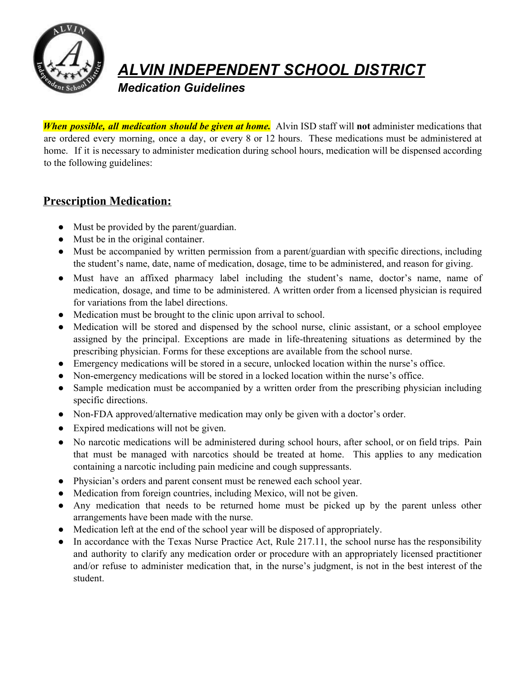

## *ALVIN INDEPENDENT SCHOOL DISTRICT*

*Medication Guidelines*

*When possible, all medication should be given at home.* Alvin ISD staff will **not** administer medications that are ordered every morning, once a day, or every 8 or 12 hours. These medications must be administered at home. If it is necessary to administer medication during school hours, medication will be dispensed according to the following guidelines:

## **Prescription Medication:**

- Must be provided by the parent/guardian.
- Must be in the original container.
- Must be accompanied by written permission from a parent/guardian with specific directions, including the student's name, date, name of medication, dosage, time to be administered, and reason for giving.
- Must have an affixed pharmacy label including the student's name, doctor's name, name of medication, dosage, and time to be administered. A written order from a licensed physician is required for variations from the label directions.
- Medication must be brought to the clinic upon arrival to school.
- Medication will be stored and dispensed by the school nurse, clinic assistant, or a school employee assigned by the principal. Exceptions are made in life-threatening situations as determined by the prescribing physician. Forms for these exceptions are available from the school nurse.
- Emergency medications will be stored in a secure, unlocked location within the nurse's office.
- Non-emergency medications will be stored in a locked location within the nurse's office.
- Sample medication must be accompanied by a written order from the prescribing physician including specific directions.
- Non-FDA approved/alternative medication may only be given with a doctor's order.
- Expired medications will not be given.
- No narcotic medications will be administered during school hours, after school, or on field trips. Pain that must be managed with narcotics should be treated at home. This applies to any medication containing a narcotic including pain medicine and cough suppressants.
- Physician's orders and parent consent must be renewed each school year.
- Medication from foreign countries, including Mexico, will not be given.
- Any medication that needs to be returned home must be picked up by the parent unless other arrangements have been made with the nurse.
- Medication left at the end of the school year will be disposed of appropriately.
- In accordance with the Texas Nurse Practice Act, Rule 217.11, the school nurse has the responsibility and authority to clarify any medication order or procedure with an appropriately licensed practitioner and/or refuse to administer medication that, in the nurse's judgment, is not in the best interest of the student.